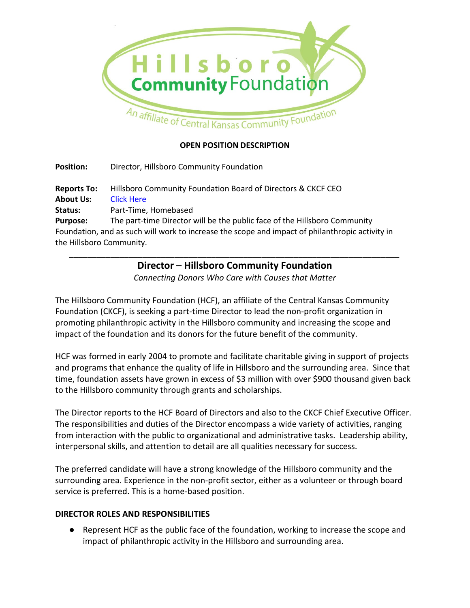

### **OPEN POSITION DESCRIPTION**

**Position:** Director, Hillsboro Community Foundation **Reports To:** Hillsboro Community Foundation Board of Directors & CKCF CEO **About Us:** Click Here **Status:** Part-Time, Homebased **Purpose:** The part-time Director will be the public face of the Hillsboro Community Foundation, and as such will work to increase the scope and impact of philanthropic activity in

the Hillsboro Community.

## *\_\_\_\_\_\_\_\_\_\_\_\_\_\_\_\_\_\_\_\_\_\_\_\_\_\_\_\_\_\_\_\_\_\_\_\_\_\_\_\_\_\_\_\_\_\_\_\_\_\_\_\_\_\_\_\_\_\_\_\_\_\_\_\_\_\_\_\_\_\_\_\_* **Director – Hillsboro Community Foundation**

*Connecting Donors Who Care with Causes that Matter*

The Hillsboro Community Foundation (HCF), an affiliate of the Central Kansas Community Foundation (CKCF), is seeking a part-time Director to lead the non-profit organization in promoting philanthropic activity in the Hillsboro community and increasing the scope and impact of the foundation and its donors for the future benefit of the community.

HCF was formed in early 2004 to promote and facilitate charitable giving in support of projects and programs that enhance the quality of life in Hillsboro and the surrounding area. Since that time, foundation assets have grown in excess of \$3 million with over \$900 thousand given back to the Hillsboro community through grants and scholarships.

The Director reports to the HCF Board of Directors and also to the CKCF Chief Executive Officer. The responsibilities and duties of the Director encompass a wide variety of activities, ranging from interaction with the public to organizational and administrative tasks. Leadership ability, interpersonal skills, and attention to detail are all qualities necessary for success.

The preferred candidate will have a strong knowledge of the Hillsboro community and the surrounding area. Experience in the non-profit sector, either as a volunteer or through board service is preferred. This is a home-based position.

#### **DIRECTOR ROLES AND RESPONSIBILITIES**

● Represent HCF as the public face of the foundation, working to increase the scope and impact of philanthropic activity in the Hillsboro and surrounding area.